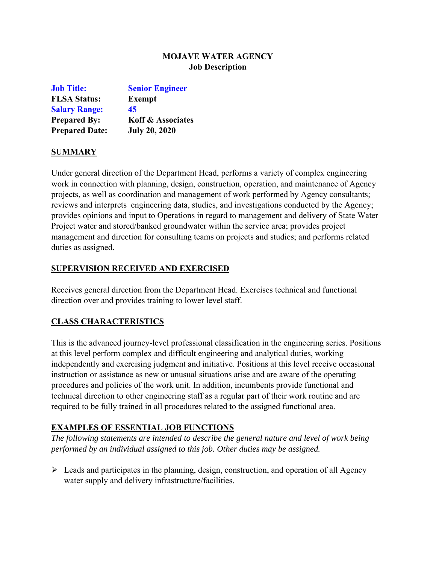# **MOJAVE WATER AGENCY Job Description**

| <b>Job Title:</b>     | <b>Senior Engineer</b>       |
|-----------------------|------------------------------|
| <b>FLSA Status:</b>   | <b>Exempt</b>                |
| <b>Salary Range:</b>  | 45                           |
| <b>Prepared By:</b>   | <b>Koff &amp; Associates</b> |
| <b>Prepared Date:</b> | <b>July 20, 2020</b>         |

#### **SUMMARY**

Under general direction of the Department Head, performs a variety of complex engineering work in connection with planning, design, construction, operation, and maintenance of Agency projects, as well as coordination and management of work performed by Agency consultants; reviews and interprets engineering data, studies, and investigations conducted by the Agency; provides opinions and input to Operations in regard to management and delivery of State Water Project water and stored/banked groundwater within the service area; provides project management and direction for consulting teams on projects and studies; and performs related duties as assigned.

### **SUPERVISION RECEIVED AND EXERCISED**

Receives general direction from the Department Head. Exercises technical and functional direction over and provides training to lower level staff.

# **CLASS CHARACTERISTICS**

This is the advanced journey-level professional classification in the engineering series. Positions at this level perform complex and difficult engineering and analytical duties, working independently and exercising judgment and initiative. Positions at this level receive occasional instruction or assistance as new or unusual situations arise and are aware of the operating procedures and policies of the work unit. In addition, incumbents provide functional and technical direction to other engineering staff as a regular part of their work routine and are required to be fully trained in all procedures related to the assigned functional area.

# **EXAMPLES OF ESSENTIAL JOB FUNCTIONS**

*The following statements are intended to describe the general nature and level of work being performed by an individual assigned to this job. Other duties may be assigned.* 

 $\triangleright$  Leads and participates in the planning, design, construction, and operation of all Agency water supply and delivery infrastructure/facilities.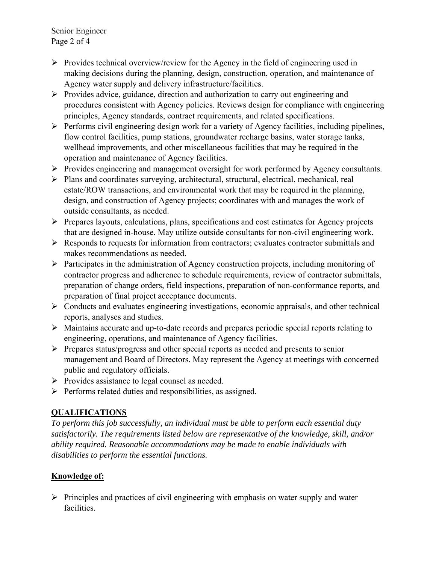Senior Engineer Page 2 of 4

- $\triangleright$  Provides technical overview/review for the Agency in the field of engineering used in making decisions during the planning, design, construction, operation, and maintenance of Agency water supply and delivery infrastructure/facilities.
- $\triangleright$  Provides advice, guidance, direction and authorization to carry out engineering and procedures consistent with Agency policies. Reviews design for compliance with engineering principles, Agency standards, contract requirements, and related specifications.
- $\triangleright$  Performs civil engineering design work for a variety of Agency facilities, including pipelines, flow control facilities, pump stations, groundwater recharge basins, water storage tanks, wellhead improvements, and other miscellaneous facilities that may be required in the operation and maintenance of Agency facilities.
- $\triangleright$  Provides engineering and management oversight for work performed by Agency consultants.
- Plans and coordinates surveying, architectural, structural, electrical, mechanical, real estate/ROW transactions, and environmental work that may be required in the planning, design, and construction of Agency projects; coordinates with and manages the work of outside consultants, as needed.
- $\triangleright$  Prepares layouts, calculations, plans, specifications and cost estimates for Agency projects that are designed in-house. May utilize outside consultants for non-civil engineering work.
- $\triangleright$  Responds to requests for information from contractors; evaluates contractor submittals and makes recommendations as needed.
- $\triangleright$  Participates in the administration of Agency construction projects, including monitoring of contractor progress and adherence to schedule requirements, review of contractor submittals, preparation of change orders, field inspections, preparation of non-conformance reports, and preparation of final project acceptance documents.
- $\triangleright$  Conducts and evaluates engineering investigations, economic appraisals, and other technical reports, analyses and studies.
- Maintains accurate and up-to-date records and prepares periodic special reports relating to engineering, operations, and maintenance of Agency facilities.
- $\triangleright$  Prepares status/progress and other special reports as needed and presents to senior management and Board of Directors. May represent the Agency at meetings with concerned public and regulatory officials.
- $\triangleright$  Provides assistance to legal counsel as needed.
- $\triangleright$  Performs related duties and responsibilities, as assigned.

# **QUALIFICATIONS**

*To perform this job successfully, an individual must be able to perform each essential duty satisfactorily. The requirements listed below are representative of the knowledge, skill, and/or ability required. Reasonable accommodations may be made to enable individuals with disabilities to perform the essential functions.* 

# **Knowledge of:**

 $\triangleright$  Principles and practices of civil engineering with emphasis on water supply and water facilities.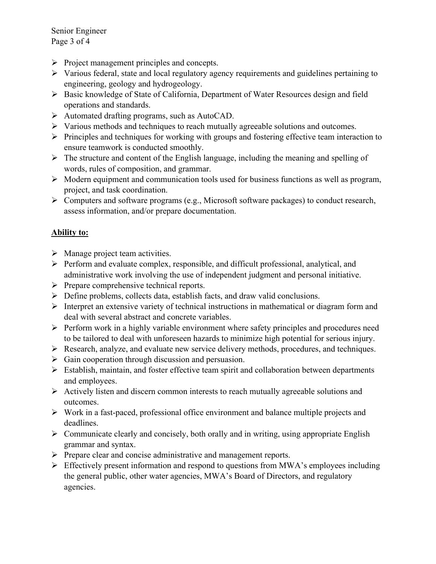Senior Engineer Page 3 of 4

- $\triangleright$  Project management principles and concepts.
- $\triangleright$  Various federal, state and local regulatory agency requirements and guidelines pertaining to engineering, geology and hydrogeology.
- Basic knowledge of State of California, Department of Water Resources design and field operations and standards.
- Automated drafting programs, such as AutoCAD.
- Various methods and techniques to reach mutually agreeable solutions and outcomes.
- $\triangleright$  Principles and techniques for working with groups and fostering effective team interaction to ensure teamwork is conducted smoothly.
- $\triangleright$  The structure and content of the English language, including the meaning and spelling of words, rules of composition, and grammar.
- $\triangleright$  Modern equipment and communication tools used for business functions as well as program, project, and task coordination.
- $\triangleright$  Computers and software programs (e.g., Microsoft software packages) to conduct research, assess information, and/or prepare documentation.

### **Ability to:**

- $\triangleright$  Manage project team activities.
- $\triangleright$  Perform and evaluate complex, responsible, and difficult professional, analytical, and administrative work involving the use of independent judgment and personal initiative.
- $\triangleright$  Prepare comprehensive technical reports.
- Define problems, collects data, establish facts, and draw valid conclusions.
- $\triangleright$  Interpret an extensive variety of technical instructions in mathematical or diagram form and deal with several abstract and concrete variables.
- $\triangleright$  Perform work in a highly variable environment where safety principles and procedures need to be tailored to deal with unforeseen hazards to minimize high potential for serious injury.
- Research, analyze, and evaluate new service delivery methods, procedures, and techniques.
- $\triangleright$  Gain cooperation through discussion and persuasion.
- $\triangleright$  Establish, maintain, and foster effective team spirit and collaboration between departments and employees.
- $\triangleright$  Actively listen and discern common interests to reach mutually agreeable solutions and outcomes.
- $\triangleright$  Work in a fast-paced, professional office environment and balance multiple projects and deadlines.
- $\triangleright$  Communicate clearly and concisely, both orally and in writing, using appropriate English grammar and syntax.
- $\triangleright$  Prepare clear and concise administrative and management reports.
- $\triangleright$  Effectively present information and respond to questions from MWA's employees including the general public, other water agencies, MWA's Board of Directors, and regulatory agencies.